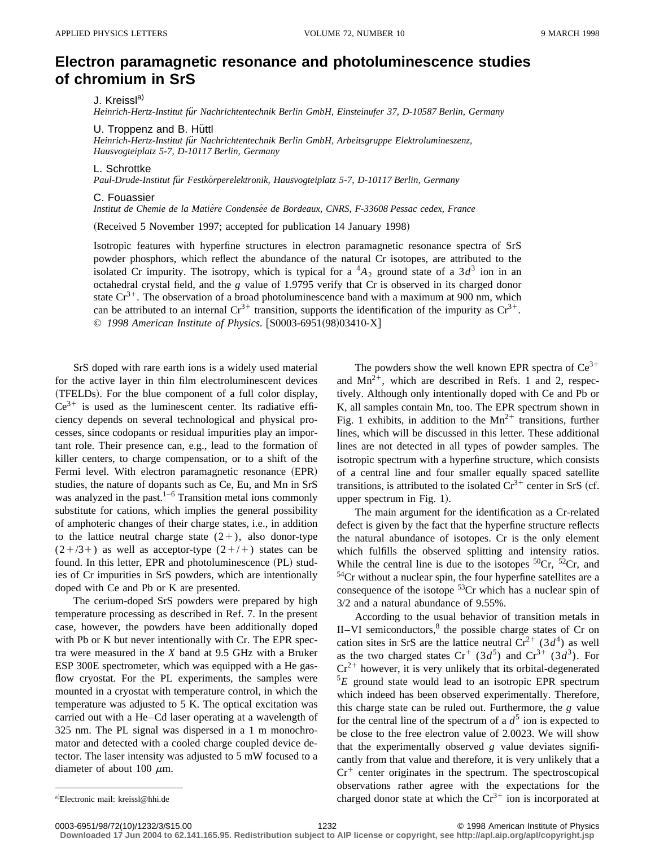## **Electron paramagnetic resonance and photoluminescence studies of chromium in SrS**

J. Kreissl<sup>a)</sup>

*Heinrich-Hertz-Institut fu¨r Nachrichtentechnik Berlin GmbH, Einsteinufer 37, D-10587 Berlin, Germany*

U. Troppenz and B. Huttl

*Heinrich-Hertz-Institut fu¨r Nachrichtentechnik Berlin GmbH, Arbeitsgruppe Elektrolumineszenz, Hausvogteiplatz 5-7, D-10117 Berlin, Germany*

L. Schrottke

*Paul-Drude-Institut fu¨r Festko¨rperelektronik, Hausvogteiplatz 5-7, D-10117 Berlin, Germany*

## C. Fouassier

*Institut de Chemie de la Matie`re Condense´e de Bordeaux, CNRS, F-33608 Pessac cedex, France*

(Received 5 November 1997; accepted for publication 14 January 1998)

Isotropic features with hyperfine structures in electron paramagnetic resonance spectra of SrS powder phosphors, which reflect the abundance of the natural Cr isotopes, are attributed to the isolated Cr impurity. The isotropy, which is typical for a  ${}^4A_2$  ground state of a  $3d^3$  ion in an octahedral crystal field, and the *g* value of 1.9795 verify that Cr is observed in its charged donor state  $Cr^{3+}$ . The observation of a broad photoluminescence band with a maximum at 900 nm, which can be attributed to an internal  $Cr^{3+}$  transition, supports the identification of the impurity as  $Cr^{3+}$ . © 1998 American Institute of Physics. [S0003-6951(98)03410-X]

SrS doped with rare earth ions is a widely used material for the active layer in thin film electroluminescent devices (TFELDs). For the blue component of a full color display,  $Ce^{3+}$  is used as the luminescent center. Its radiative efficiency depends on several technological and physical processes, since codopants or residual impurities play an important role. Their presence can, e.g., lead to the formation of killer centers, to charge compensation, or to a shift of the Fermi level. With electron paramagnetic resonance (EPR) studies, the nature of dopants such as Ce, Eu, and Mn in SrS was analyzed in the past.<sup>1–6</sup> Transition metal ions commonly substitute for cations, which implies the general possibility of amphoteric changes of their charge states, i.e., in addition to the lattice neutral charge state  $(2+)$ , also donor-type  $(2+/3+)$  as well as acceptor-type  $(2+/+)$  states can be found. In this letter, EPR and photoluminescence (PL) studies of Cr impurities in SrS powders, which are intentionally doped with Ce and Pb or K are presented.

The cerium-doped SrS powders were prepared by high temperature processing as described in Ref. 7. In the present case, however, the powders have been additionally doped with Pb or K but never intentionally with Cr. The EPR spectra were measured in the *X* band at 9.5 GHz with a Bruker ESP 300E spectrometer, which was equipped with a He gasflow cryostat. For the PL experiments, the samples were mounted in a cryostat with temperature control, in which the temperature was adjusted to 5 K. The optical excitation was carried out with a He–Cd laser operating at a wavelength of  $325$  nm. The PL signal was dispersed in a 1 m monochromator and detected with a cooled charge coupled device detector. The laser intensity was adjusted to 5 mW focused to a diameter of about 100  $\mu$ m.

The powders show the well known EPR spectra of  $Ce^{3+}$ and  $Mn^{2+}$ , which are described in Refs. 1 and 2, respectively. Although only intentionally doped with Ce and Pb or K, all samples contain Mn, too. The EPR spectrum shown in Fig. 1 exhibits, in addition to the  $Mn^{2+}$  transitions, further lines, which will be discussed in this letter. These additional lines are not detected in all types of powder samples. The isotropic spectrum with a hyperfine structure, which consists of a central line and four smaller equally spaced satellite transitions, is attributed to the isolated  $Cr^{3+}$  center in SrS (cf. upper spectrum in Fig.  $1$ ).

The main argument for the identification as a Cr-related defect is given by the fact that the hyperfine structure reflects the natural abundance of isotopes. Cr is the only element which fulfills the observed splitting and intensity ratios. While the central line is due to the isotopes  ${}^{50}Cr$ ,  ${}^{52}Cr$ , and  $54$ Cr without a nuclear spin, the four hyperfine satellites are a consequence of the isotope 53Cr which has a nuclear spin of 3/2 and a natural abundance of 9.55%.

According to the usual behavior of transition metals in II–VI semiconductors, $8$  the possible charge states of Cr on cation sites in SrS are the lattice neutral  $Cr^{2+}$  (3*d*<sup>4</sup>) as well as the two charged states  $Cr^+$  (3*d*<sup>5</sup>) and  $Cr^{3+}$  (3*d*<sup>3</sup>). For  $Cr^{2+}$  however, it is very unlikely that its orbital-degenerated <sup>5</sup>*E* ground state would lead to an isotropic EPR spectrum which indeed has been observed experimentally. Therefore, this charge state can be ruled out. Furthermore, the *g* value for the central line of the spectrum of a  $d^5$  ion is expected to be close to the free electron value of 2.0023. We will show that the experimentally observed *g* value deviates significantly from that value and therefore, it is very unlikely that a  $Cr^+$  center originates in the spectrum. The spectroscopical observations rather agree with the expectations for the charged donor state at which the  $Cr^{3+}$  ion is incorporated at

Electronic mail: kreissl@hhi.de

<sup>0003-6951/98/72(10)/1232/3/\$15.00 1998</sup> American Institute of Physics 10003-6951/98/72(10)/1232/3/\$15.00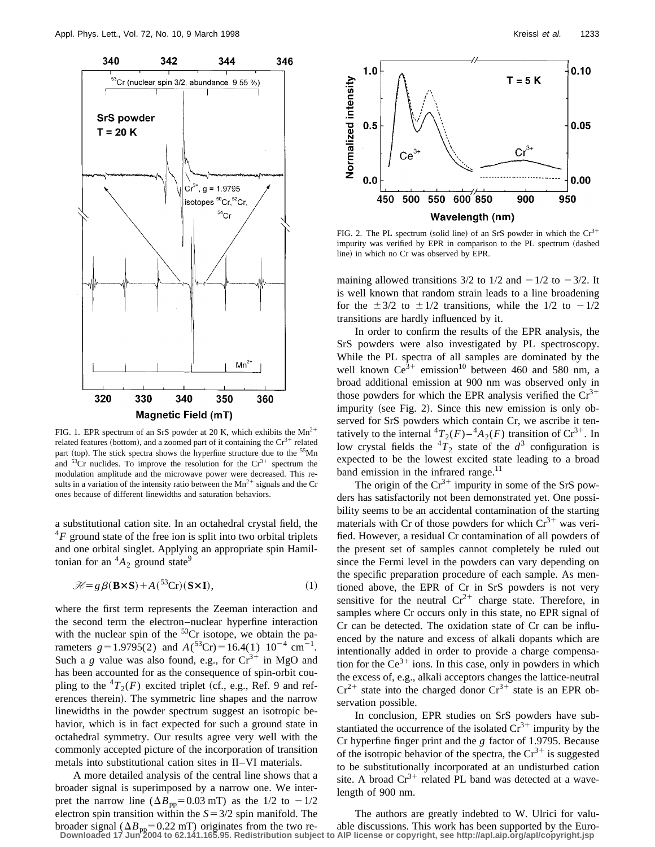

FIG. 1. EPR spectrum of an SrS powder at 20 K, which exhibits the  $Mn^{2+}$ related features (bottom), and a zoomed part of it containing the  $Cr^{3+}$  related part (top). The stick spectra shows the hyperfine structure due to the <sup>55</sup>Mn and  $53Cr$  nuclides. To improve the resolution for the  $Cr<sup>3+</sup>$  spectrum the modulation amplitude and the microwave power were decreased. This results in a variation of the intensity ratio between the  $Mn^{2+}$  signals and the Cr ones because of different linewidths and saturation behaviors.

a substitutional cation site. In an octahedral crystal field, the  ${}^{4}F$  ground state of the free ion is split into two orbital triplets and one orbital singlet. Applying an appropriate spin Hamiltonian for an  ${}^4A_2$  ground state<sup>9</sup>

$$
\mathcal{H} = g\beta(\mathbf{B} \times \mathbf{S}) + A^{(53)}\text{Cr})(\mathbf{S} \times \mathbf{I}),\tag{1}
$$

where the first term represents the Zeeman interaction and the second term the electron–nuclear hyperfine interaction with the nuclear spin of the  $53Cr$  isotope, we obtain the parameters  $g=1.9795(2)$  and  $A(^{53}Cr)=16.4(1) 10^{-4} cm^{-1}$ . Such a *g* value was also found, e.g., for  $Cr^{3+}$  in MgO and has been accounted for as the consequence of spin-orbit coupling to the  ${}^4T_2(F)$  excited triplet (cf., e.g., Ref. 9 and references therein). The symmetric line shapes and the narrow linewidths in the powder spectrum suggest an isotropic behavior, which is in fact expected for such a ground state in octahedral symmetry. Our results agree very well with the commonly accepted picture of the incorporation of transition metals into substitutional cation sites in II–VI materials.

A more detailed analysis of the central line shows that a broader signal is superimposed by a narrow one. We interpret the narrow line  $(\Delta B_{\text{pp}}=0.03 \text{ mT})$  as the 1/2 to  $-1/2$ electron spin transition within the  $S = 3/2$  spin manifold. The



FIG. 2. The PL spectrum (solid line) of an SrS powder in which the  $Cr^{3+}$ impurity was verified by EPR in comparison to the PL spectrum (dashed line) in which no Cr was observed by EPR.

maining allowed transitions  $3/2$  to  $1/2$  and  $-1/2$  to  $-3/2$ . It is well known that random strain leads to a line broadening for the  $\pm 3/2$  to  $\pm 1/2$  transitions, while the 1/2 to  $-1/2$ transitions are hardly influenced by it.

In order to confirm the results of the EPR analysis, the SrS powders were also investigated by PL spectroscopy. While the PL spectra of all samples are dominated by the well known  $Ce^{3+}$  emission<sup>10</sup> between 460 and 580 nm, a broad additional emission at 900 nm was observed only in those powders for which the EPR analysis verified the  $Cr^{3+}$ impurity (see Fig. 2). Since this new emission is only observed for SrS powders which contain Cr, we ascribe it tentatively to the internal  ${}^4T_2(F) - {}^4A_2(F)$  transition of  $Cr^{3+}$ . In low crystal fields the  ${}^{4}T_{2}$  state of the  $d^{3}$  configuration is expected to be the lowest excited state leading to a broad band emission in the infrared range.<sup>11</sup>

The origin of the  $Cr^{3+}$  impurity in some of the SrS powders has satisfactorily not been demonstrated yet. One possibility seems to be an accidental contamination of the starting materials with Cr of those powders for which  $Cr^{3+}$  was verified. However, a residual Cr contamination of all powders of the present set of samples cannot completely be ruled out since the Fermi level in the powders can vary depending on the specific preparation procedure of each sample. As mentioned above, the EPR of Cr in SrS powders is not very sensitive for the neutral  $Cr^{2+}$  charge state. Therefore, in samples where Cr occurs only in this state, no EPR signal of Cr can be detected. The oxidation state of Cr can be influenced by the nature and excess of alkali dopants which are intentionally added in order to provide a charge compensation for the  $Ce^{3+}$  ions. In this case, only in powders in which the excess of, e.g., alkali acceptors changes the lattice-neutral  $Cr^{2+}$  state into the charged donor  $Cr^{3+}$  state is an EPR observation possible.

In conclusion, EPR studies on SrS powders have substantiated the occurrence of the isolated  $Cr^{3+}$  impurity by the Cr hyperfine finger print and the *g* factor of 1.9795. Because of the isotropic behavior of the spectra, the  $Cr^{3+}$  is suggested to be substitutionally incorporated at an undisturbed cation site. A broad  $Cr^{3+}$  related PL band was detected at a wavelength of 900 nm.

broader signal ( $\Delta B_{\text{pp}}$  = 0.22 mT) originates from the two re-<br>Downloaded 17 Jun 2004 to 62.141.165.95. Redistribution subject to AIP license or copyright, see http://apl.aip.org/apl/copyright.jsp The authors are greatly indebted to W. Ulrici for valu